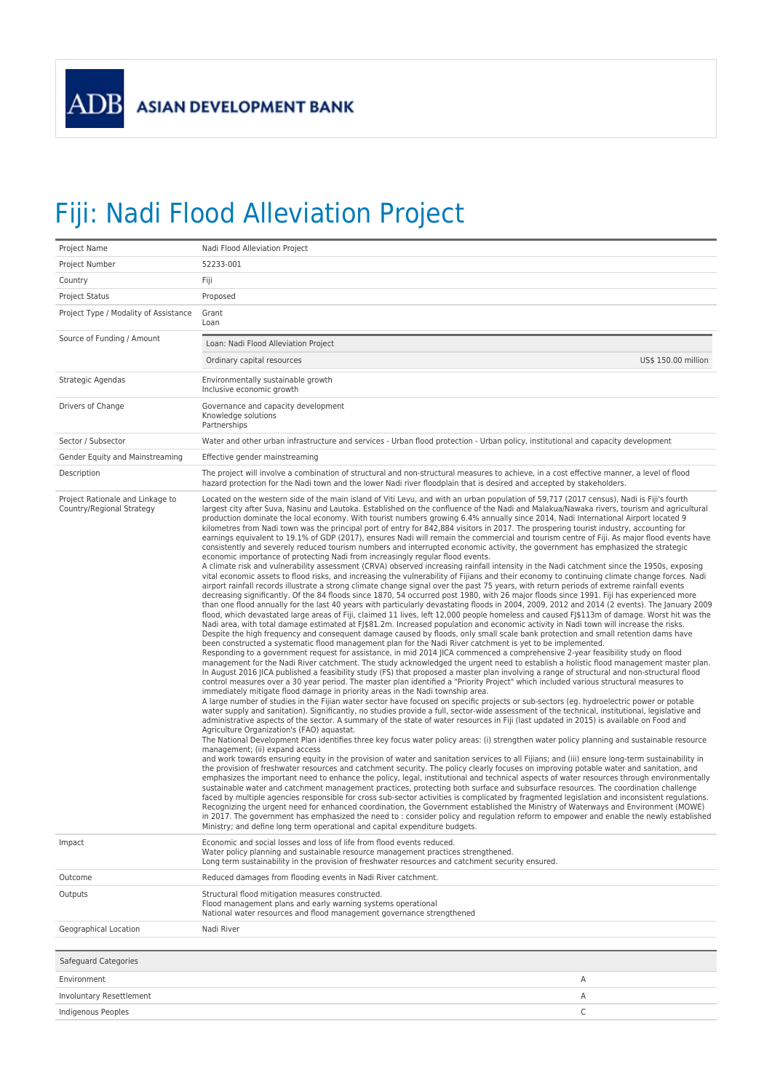## Fiji: Nadi Flood Alleviation Project

| Project Name                                                  | Nadi Flood Alleviation Project                                                                                                                                                                                                                                                                                                                                                                                                                                                                                                                                                                                                                                                                                                                                                                                                                                                                                                                                                                                                                                                                                                                                                                                                                                                                                                                                                                                                                                                                                                                                                                                                                                                                                                                                                                                                                                                                                                                                                                                                                                                                                                                                                                                                                                                                                                                                                                                                                                                                                                                                                                                                                                                                                                                                                                                                                                                                                                                                                                                                                                                                                                                                                                                                                                                                                                                                                                                                                                                                                                                                                                                                                                                                                                                                                                                                                                                                                                                                                                                                                                                                                                                                                                                                                                                                                                                                                                                                                                                                                                                                                                                                                                |                     |  |
|---------------------------------------------------------------|---------------------------------------------------------------------------------------------------------------------------------------------------------------------------------------------------------------------------------------------------------------------------------------------------------------------------------------------------------------------------------------------------------------------------------------------------------------------------------------------------------------------------------------------------------------------------------------------------------------------------------------------------------------------------------------------------------------------------------------------------------------------------------------------------------------------------------------------------------------------------------------------------------------------------------------------------------------------------------------------------------------------------------------------------------------------------------------------------------------------------------------------------------------------------------------------------------------------------------------------------------------------------------------------------------------------------------------------------------------------------------------------------------------------------------------------------------------------------------------------------------------------------------------------------------------------------------------------------------------------------------------------------------------------------------------------------------------------------------------------------------------------------------------------------------------------------------------------------------------------------------------------------------------------------------------------------------------------------------------------------------------------------------------------------------------------------------------------------------------------------------------------------------------------------------------------------------------------------------------------------------------------------------------------------------------------------------------------------------------------------------------------------------------------------------------------------------------------------------------------------------------------------------------------------------------------------------------------------------------------------------------------------------------------------------------------------------------------------------------------------------------------------------------------------------------------------------------------------------------------------------------------------------------------------------------------------------------------------------------------------------------------------------------------------------------------------------------------------------------------------------------------------------------------------------------------------------------------------------------------------------------------------------------------------------------------------------------------------------------------------------------------------------------------------------------------------------------------------------------------------------------------------------------------------------------------------------------------------------------------------------------------------------------------------------------------------------------------------------------------------------------------------------------------------------------------------------------------------------------------------------------------------------------------------------------------------------------------------------------------------------------------------------------------------------------------------------------------------------------------------------------------------------------------------------------------------------------------------------------------------------------------------------------------------------------------------------------------------------------------------------------------------------------------------------------------------------------------------------------------------------------------------------------------------------------------------------------------------------------------------------------------------------------|---------------------|--|
| Project Number                                                | 52233-001                                                                                                                                                                                                                                                                                                                                                                                                                                                                                                                                                                                                                                                                                                                                                                                                                                                                                                                                                                                                                                                                                                                                                                                                                                                                                                                                                                                                                                                                                                                                                                                                                                                                                                                                                                                                                                                                                                                                                                                                                                                                                                                                                                                                                                                                                                                                                                                                                                                                                                                                                                                                                                                                                                                                                                                                                                                                                                                                                                                                                                                                                                                                                                                                                                                                                                                                                                                                                                                                                                                                                                                                                                                                                                                                                                                                                                                                                                                                                                                                                                                                                                                                                                                                                                                                                                                                                                                                                                                                                                                                                                                                                                                     |                     |  |
| Country                                                       | Fiji                                                                                                                                                                                                                                                                                                                                                                                                                                                                                                                                                                                                                                                                                                                                                                                                                                                                                                                                                                                                                                                                                                                                                                                                                                                                                                                                                                                                                                                                                                                                                                                                                                                                                                                                                                                                                                                                                                                                                                                                                                                                                                                                                                                                                                                                                                                                                                                                                                                                                                                                                                                                                                                                                                                                                                                                                                                                                                                                                                                                                                                                                                                                                                                                                                                                                                                                                                                                                                                                                                                                                                                                                                                                                                                                                                                                                                                                                                                                                                                                                                                                                                                                                                                                                                                                                                                                                                                                                                                                                                                                                                                                                                                          |                     |  |
| <b>Project Status</b>                                         | Proposed                                                                                                                                                                                                                                                                                                                                                                                                                                                                                                                                                                                                                                                                                                                                                                                                                                                                                                                                                                                                                                                                                                                                                                                                                                                                                                                                                                                                                                                                                                                                                                                                                                                                                                                                                                                                                                                                                                                                                                                                                                                                                                                                                                                                                                                                                                                                                                                                                                                                                                                                                                                                                                                                                                                                                                                                                                                                                                                                                                                                                                                                                                                                                                                                                                                                                                                                                                                                                                                                                                                                                                                                                                                                                                                                                                                                                                                                                                                                                                                                                                                                                                                                                                                                                                                                                                                                                                                                                                                                                                                                                                                                                                                      |                     |  |
| Project Type / Modality of Assistance                         | Grant<br>Loan                                                                                                                                                                                                                                                                                                                                                                                                                                                                                                                                                                                                                                                                                                                                                                                                                                                                                                                                                                                                                                                                                                                                                                                                                                                                                                                                                                                                                                                                                                                                                                                                                                                                                                                                                                                                                                                                                                                                                                                                                                                                                                                                                                                                                                                                                                                                                                                                                                                                                                                                                                                                                                                                                                                                                                                                                                                                                                                                                                                                                                                                                                                                                                                                                                                                                                                                                                                                                                                                                                                                                                                                                                                                                                                                                                                                                                                                                                                                                                                                                                                                                                                                                                                                                                                                                                                                                                                                                                                                                                                                                                                                                                                 |                     |  |
| Source of Funding / Amount                                    | Loan: Nadi Flood Alleviation Project                                                                                                                                                                                                                                                                                                                                                                                                                                                                                                                                                                                                                                                                                                                                                                                                                                                                                                                                                                                                                                                                                                                                                                                                                                                                                                                                                                                                                                                                                                                                                                                                                                                                                                                                                                                                                                                                                                                                                                                                                                                                                                                                                                                                                                                                                                                                                                                                                                                                                                                                                                                                                                                                                                                                                                                                                                                                                                                                                                                                                                                                                                                                                                                                                                                                                                                                                                                                                                                                                                                                                                                                                                                                                                                                                                                                                                                                                                                                                                                                                                                                                                                                                                                                                                                                                                                                                                                                                                                                                                                                                                                                                          |                     |  |
|                                                               | Ordinary capital resources                                                                                                                                                                                                                                                                                                                                                                                                                                                                                                                                                                                                                                                                                                                                                                                                                                                                                                                                                                                                                                                                                                                                                                                                                                                                                                                                                                                                                                                                                                                                                                                                                                                                                                                                                                                                                                                                                                                                                                                                                                                                                                                                                                                                                                                                                                                                                                                                                                                                                                                                                                                                                                                                                                                                                                                                                                                                                                                                                                                                                                                                                                                                                                                                                                                                                                                                                                                                                                                                                                                                                                                                                                                                                                                                                                                                                                                                                                                                                                                                                                                                                                                                                                                                                                                                                                                                                                                                                                                                                                                                                                                                                                    | US\$ 150.00 million |  |
| Strategic Agendas                                             | Environmentally sustainable growth<br>Inclusive economic growth                                                                                                                                                                                                                                                                                                                                                                                                                                                                                                                                                                                                                                                                                                                                                                                                                                                                                                                                                                                                                                                                                                                                                                                                                                                                                                                                                                                                                                                                                                                                                                                                                                                                                                                                                                                                                                                                                                                                                                                                                                                                                                                                                                                                                                                                                                                                                                                                                                                                                                                                                                                                                                                                                                                                                                                                                                                                                                                                                                                                                                                                                                                                                                                                                                                                                                                                                                                                                                                                                                                                                                                                                                                                                                                                                                                                                                                                                                                                                                                                                                                                                                                                                                                                                                                                                                                                                                                                                                                                                                                                                                                               |                     |  |
| Drivers of Change                                             | Governance and capacity development<br>Knowledge solutions<br>Partnerships                                                                                                                                                                                                                                                                                                                                                                                                                                                                                                                                                                                                                                                                                                                                                                                                                                                                                                                                                                                                                                                                                                                                                                                                                                                                                                                                                                                                                                                                                                                                                                                                                                                                                                                                                                                                                                                                                                                                                                                                                                                                                                                                                                                                                                                                                                                                                                                                                                                                                                                                                                                                                                                                                                                                                                                                                                                                                                                                                                                                                                                                                                                                                                                                                                                                                                                                                                                                                                                                                                                                                                                                                                                                                                                                                                                                                                                                                                                                                                                                                                                                                                                                                                                                                                                                                                                                                                                                                                                                                                                                                                                    |                     |  |
| Sector / Subsector                                            | Water and other urban infrastructure and services - Urban flood protection - Urban policy, institutional and capacity development                                                                                                                                                                                                                                                                                                                                                                                                                                                                                                                                                                                                                                                                                                                                                                                                                                                                                                                                                                                                                                                                                                                                                                                                                                                                                                                                                                                                                                                                                                                                                                                                                                                                                                                                                                                                                                                                                                                                                                                                                                                                                                                                                                                                                                                                                                                                                                                                                                                                                                                                                                                                                                                                                                                                                                                                                                                                                                                                                                                                                                                                                                                                                                                                                                                                                                                                                                                                                                                                                                                                                                                                                                                                                                                                                                                                                                                                                                                                                                                                                                                                                                                                                                                                                                                                                                                                                                                                                                                                                                                             |                     |  |
| Gender Equity and Mainstreaming                               | Effective gender mainstreaming                                                                                                                                                                                                                                                                                                                                                                                                                                                                                                                                                                                                                                                                                                                                                                                                                                                                                                                                                                                                                                                                                                                                                                                                                                                                                                                                                                                                                                                                                                                                                                                                                                                                                                                                                                                                                                                                                                                                                                                                                                                                                                                                                                                                                                                                                                                                                                                                                                                                                                                                                                                                                                                                                                                                                                                                                                                                                                                                                                                                                                                                                                                                                                                                                                                                                                                                                                                                                                                                                                                                                                                                                                                                                                                                                                                                                                                                                                                                                                                                                                                                                                                                                                                                                                                                                                                                                                                                                                                                                                                                                                                                                                |                     |  |
| Description                                                   | The project will involve a combination of structural and non-structural measures to achieve, in a cost effective manner, a level of flood<br>hazard protection for the Nadi town and the lower Nadi river floodplain that is desired and accepted by stakeholders.                                                                                                                                                                                                                                                                                                                                                                                                                                                                                                                                                                                                                                                                                                                                                                                                                                                                                                                                                                                                                                                                                                                                                                                                                                                                                                                                                                                                                                                                                                                                                                                                                                                                                                                                                                                                                                                                                                                                                                                                                                                                                                                                                                                                                                                                                                                                                                                                                                                                                                                                                                                                                                                                                                                                                                                                                                                                                                                                                                                                                                                                                                                                                                                                                                                                                                                                                                                                                                                                                                                                                                                                                                                                                                                                                                                                                                                                                                                                                                                                                                                                                                                                                                                                                                                                                                                                                                                            |                     |  |
| Project Rationale and Linkage to<br>Country/Regional Strategy | Located on the western side of the main island of Viti Levu, and with an urban population of 59.717 (2017 census). Nadi is Fiii's fourth<br>largest city after Suva, Nasinu and Lautoka. Established on the confluence of the Nadi and Malakua/Nawaka rivers, tourism and agricultural<br>production dominate the local economy. With tourist numbers growing 6.4% annually since 2014, Nadi International Airport located 9<br>kilometres from Nadi town was the principal port of entry for 842,884 visitors in 2017. The prospering tourist industry, accounting for<br>earnings equivalent to 19.1% of GDP (2017), ensures Nadi will remain the commercial and tourism centre of Fiji. As major flood events have<br>consistently and severely reduced tourism numbers and interrupted economic activity, the government has emphasized the strategic<br>economic importance of protecting Nadi from increasingly regular flood events.<br>A climate risk and vulnerability assessment (CRVA) observed increasing rainfall intensity in the Nadi catchment since the 1950s, exposing<br>vital economic assets to flood risks, and increasing the vulnerability of Fijians and their economy to continuing climate change forces. Nadi<br>airport rainfall records illustrate a strong climate change signal over the past 75 years, with return periods of extreme rainfall events<br>decreasing significantly. Of the 84 floods since 1870, 54 occurred post 1980, with 26 major floods since 1991. Fiji has experienced more<br>than one flood annually for the last 40 years with particularly devastating floods in 2004, 2009, 2012 and 2014 (2 events). The January 2009<br>flood, which devastated large areas of Fiji, claimed 11 lives, left 12,000 people homeless and caused FJ\$113m of damage. Worst hit was the<br>Nadi area, with total damage estimated at FJ\$81.2m. Increased population and economic activity in Nadi town will increase the risks.<br>Despite the high frequency and consequent damage caused by floods, only small scale bank protection and small retention dams have<br>been constructed a systematic flood management plan for the Nadi River catchment is yet to be implemented.<br>Responding to a government request for assistance, in mid 2014 JICA commenced a comprehensive 2-year feasibility study on flood<br>management for the Nadi River catchment. The study acknowledged the urgent need to establish a holistic flood management master plan.<br>In August 2016 JICA published a feasibility study (FS) that proposed a master plan involving a range of structural and non-structural flood<br>control measures over a 30 year period. The master plan identified a "Priority Project" which included various structural measures to<br>immediately mitigate flood damage in priority areas in the Nadi township area.<br>A large number of studies in the Fijian water sector have focused on specific projects or sub-sectors (eg. hydroelectric power or potable<br>water supply and sanitation). Significantly, no studies provide a full, sector-wide assessment of the technical, institutional, legislative and<br>administrative aspects of the sector. A summary of the state of water resources in Fiji (last updated in 2015) is available on Food and<br>Agriculture Organization's (FAO) aquastat.<br>The National Development Plan identifies three key focus water policy areas: (i) strengthen water policy planning and sustainable resource<br>management; (ii) expand access<br>and work towards ensuring equity in the provision of water and sanitation services to all Fijians; and (iii) ensure long-term sustainability in<br>the provision of freshwater resources and catchment security. The policy clearly focuses on improving potable water and sanitation, and<br>emphasizes the important need to enhance the policy, legal, institutional and technical aspects of water resources through environmentally<br>sustainable water and catchment management practices, protecting both surface and subsurface resources. The coordination challenge<br>faced by multiple agencies responsible for cross sub-sector activities is complicated by fragmented legislation and inconsistent regulations.<br>Recognizing the urgent need for enhanced coordination, the Government established the Ministry of Waterways and Environment (MOWE)<br>in 2017. The government has emphasized the need to: consider policy and regulation reform to empower and enable the newly established<br>Ministry; and define long term operational and capital expenditure budgets. |                     |  |
| Impact                                                        | Economic and social losses and loss of life from flood events reduced.<br>Water policy planning and sustainable resource management practices strengthened.<br>Long term sustainability in the provision of freshwater resources and catchment security ensured.                                                                                                                                                                                                                                                                                                                                                                                                                                                                                                                                                                                                                                                                                                                                                                                                                                                                                                                                                                                                                                                                                                                                                                                                                                                                                                                                                                                                                                                                                                                                                                                                                                                                                                                                                                                                                                                                                                                                                                                                                                                                                                                                                                                                                                                                                                                                                                                                                                                                                                                                                                                                                                                                                                                                                                                                                                                                                                                                                                                                                                                                                                                                                                                                                                                                                                                                                                                                                                                                                                                                                                                                                                                                                                                                                                                                                                                                                                                                                                                                                                                                                                                                                                                                                                                                                                                                                                                              |                     |  |
| Outcome                                                       | Reduced damages from flooding events in Nadi River catchment.                                                                                                                                                                                                                                                                                                                                                                                                                                                                                                                                                                                                                                                                                                                                                                                                                                                                                                                                                                                                                                                                                                                                                                                                                                                                                                                                                                                                                                                                                                                                                                                                                                                                                                                                                                                                                                                                                                                                                                                                                                                                                                                                                                                                                                                                                                                                                                                                                                                                                                                                                                                                                                                                                                                                                                                                                                                                                                                                                                                                                                                                                                                                                                                                                                                                                                                                                                                                                                                                                                                                                                                                                                                                                                                                                                                                                                                                                                                                                                                                                                                                                                                                                                                                                                                                                                                                                                                                                                                                                                                                                                                                 |                     |  |
| Outputs                                                       | Structural flood mitigation measures constructed.<br>Flood management plans and early warning systems operational<br>National water resources and flood management governance strengthened                                                                                                                                                                                                                                                                                                                                                                                                                                                                                                                                                                                                                                                                                                                                                                                                                                                                                                                                                                                                                                                                                                                                                                                                                                                                                                                                                                                                                                                                                                                                                                                                                                                                                                                                                                                                                                                                                                                                                                                                                                                                                                                                                                                                                                                                                                                                                                                                                                                                                                                                                                                                                                                                                                                                                                                                                                                                                                                                                                                                                                                                                                                                                                                                                                                                                                                                                                                                                                                                                                                                                                                                                                                                                                                                                                                                                                                                                                                                                                                                                                                                                                                                                                                                                                                                                                                                                                                                                                                                    |                     |  |
| Geographical Location                                         | Nadi River                                                                                                                                                                                                                                                                                                                                                                                                                                                                                                                                                                                                                                                                                                                                                                                                                                                                                                                                                                                                                                                                                                                                                                                                                                                                                                                                                                                                                                                                                                                                                                                                                                                                                                                                                                                                                                                                                                                                                                                                                                                                                                                                                                                                                                                                                                                                                                                                                                                                                                                                                                                                                                                                                                                                                                                                                                                                                                                                                                                                                                                                                                                                                                                                                                                                                                                                                                                                                                                                                                                                                                                                                                                                                                                                                                                                                                                                                                                                                                                                                                                                                                                                                                                                                                                                                                                                                                                                                                                                                                                                                                                                                                                    |                     |  |
| Safeguard Categories                                          |                                                                                                                                                                                                                                                                                                                                                                                                                                                                                                                                                                                                                                                                                                                                                                                                                                                                                                                                                                                                                                                                                                                                                                                                                                                                                                                                                                                                                                                                                                                                                                                                                                                                                                                                                                                                                                                                                                                                                                                                                                                                                                                                                                                                                                                                                                                                                                                                                                                                                                                                                                                                                                                                                                                                                                                                                                                                                                                                                                                                                                                                                                                                                                                                                                                                                                                                                                                                                                                                                                                                                                                                                                                                                                                                                                                                                                                                                                                                                                                                                                                                                                                                                                                                                                                                                                                                                                                                                                                                                                                                                                                                                                                               |                     |  |
| Environment                                                   |                                                                                                                                                                                                                                                                                                                                                                                                                                                                                                                                                                                                                                                                                                                                                                                                                                                                                                                                                                                                                                                                                                                                                                                                                                                                                                                                                                                                                                                                                                                                                                                                                                                                                                                                                                                                                                                                                                                                                                                                                                                                                                                                                                                                                                                                                                                                                                                                                                                                                                                                                                                                                                                                                                                                                                                                                                                                                                                                                                                                                                                                                                                                                                                                                                                                                                                                                                                                                                                                                                                                                                                                                                                                                                                                                                                                                                                                                                                                                                                                                                                                                                                                                                                                                                                                                                                                                                                                                                                                                                                                                                                                                                                               | Α                   |  |
| Involuntary Resettlement                                      |                                                                                                                                                                                                                                                                                                                                                                                                                                                                                                                                                                                                                                                                                                                                                                                                                                                                                                                                                                                                                                                                                                                                                                                                                                                                                                                                                                                                                                                                                                                                                                                                                                                                                                                                                                                                                                                                                                                                                                                                                                                                                                                                                                                                                                                                                                                                                                                                                                                                                                                                                                                                                                                                                                                                                                                                                                                                                                                                                                                                                                                                                                                                                                                                                                                                                                                                                                                                                                                                                                                                                                                                                                                                                                                                                                                                                                                                                                                                                                                                                                                                                                                                                                                                                                                                                                                                                                                                                                                                                                                                                                                                                                                               | Α                   |  |
| Indigenous Peoples                                            |                                                                                                                                                                                                                                                                                                                                                                                                                                                                                                                                                                                                                                                                                                                                                                                                                                                                                                                                                                                                                                                                                                                                                                                                                                                                                                                                                                                                                                                                                                                                                                                                                                                                                                                                                                                                                                                                                                                                                                                                                                                                                                                                                                                                                                                                                                                                                                                                                                                                                                                                                                                                                                                                                                                                                                                                                                                                                                                                                                                                                                                                                                                                                                                                                                                                                                                                                                                                                                                                                                                                                                                                                                                                                                                                                                                                                                                                                                                                                                                                                                                                                                                                                                                                                                                                                                                                                                                                                                                                                                                                                                                                                                                               | C                   |  |